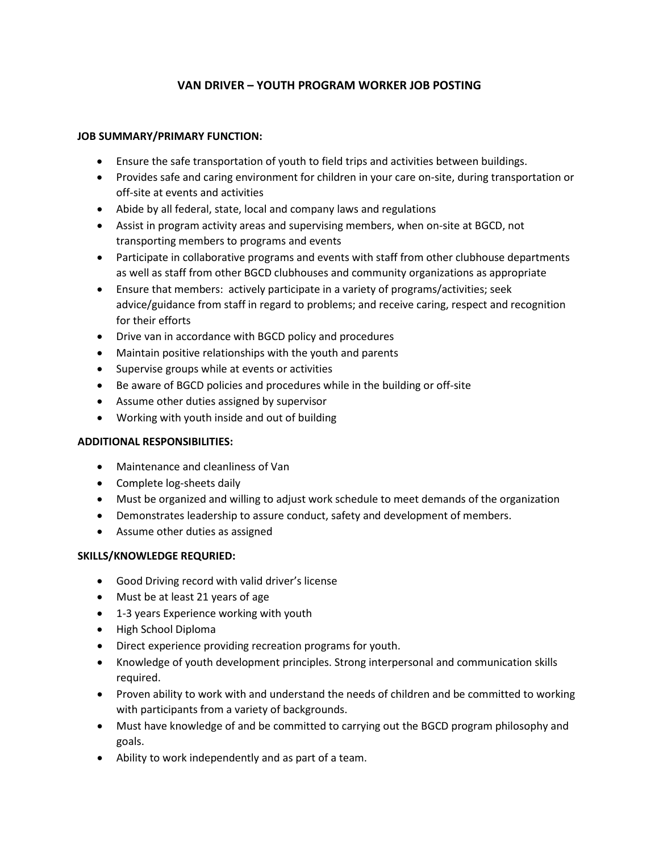# **VAN DRIVER – YOUTH PROGRAM WORKER JOB POSTING**

## **JOB SUMMARY/PRIMARY FUNCTION:**

- Ensure the safe transportation of youth to field trips and activities between buildings.
- Provides safe and caring environment for children in your care on-site, during transportation or off-site at events and activities
- Abide by all federal, state, local and company laws and regulations
- Assist in program activity areas and supervising members, when on-site at BGCD, not transporting members to programs and events
- Participate in collaborative programs and events with staff from other clubhouse departments as well as staff from other BGCD clubhouses and community organizations as appropriate
- Ensure that members: actively participate in a variety of programs/activities; seek advice/guidance from staff in regard to problems; and receive caring, respect and recognition for their efforts
- Drive van in accordance with BGCD policy and procedures
- Maintain positive relationships with the youth and parents
- Supervise groups while at events or activities
- Be aware of BGCD policies and procedures while in the building or off-site
- Assume other duties assigned by supervisor
- Working with youth inside and out of building

### **ADDITIONAL RESPONSIBILITIES:**

- Maintenance and cleanliness of Van
- Complete log-sheets daily
- Must be organized and willing to adjust work schedule to meet demands of the organization
- Demonstrates leadership to assure conduct, safety and development of members.
- Assume other duties as assigned

### **SKILLS/KNOWLEDGE REQURIED:**

- Good Driving record with valid driver's license
- Must be at least 21 years of age
- 1-3 years Experience working with youth
- High School Diploma
- Direct experience providing recreation programs for youth.
- Knowledge of youth development principles. Strong interpersonal and communication skills required.
- Proven ability to work with and understand the needs of children and be committed to working with participants from a variety of backgrounds.
- Must have knowledge of and be committed to carrying out the BGCD program philosophy and goals.
- Ability to work independently and as part of a team.